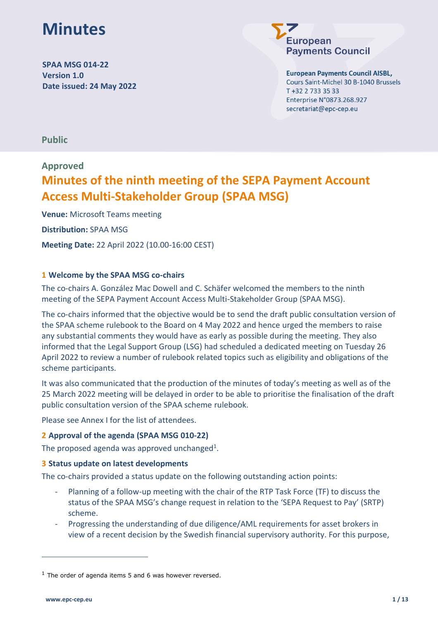# **Minutes**

**SPAA MSG 014-22 Version 1.0 Date issued: 24 May 2022**

# uropean **Payments Council**

**European Payments Council AISBL,** 

Cours Saint-Michel 30 B-1040 Brussels T +32 2 733 35 33 Enterprise N°0873.268.927 secretariat@epc-cep.eu

**Public**

## **Approved**

# **Minutes of the ninth meeting of the SEPA Payment Account Access Multi-Stakeholder Group (SPAA MSG)**

**Venue:** Microsoft Teams meeting **Distribution:** SPAA MSG **Meeting Date:** 22 April 2022 (10.00-16:00 CEST)

### **1 Welcome by the SPAA MSG co-chairs**

The co-chairs A. González Mac Dowell and C. Schäfer welcomed the members to the ninth meeting of the SEPA Payment Account Access Multi-Stakeholder Group (SPAA MSG).

The co-chairs informed that the objective would be to send the draft public consultation version of the SPAA scheme rulebook to the Board on 4 May 2022 and hence urged the members to raise any substantial comments they would have as early as possible during the meeting. They also informed that the Legal Support Group (LSG) had scheduled a dedicated meeting on Tuesday 26 April 2022 to review a number of rulebook related topics such as eligibility and obligations of the scheme participants.

It was also communicated that the production of the minutes of today's meeting as well as of the 25 March 2022 meeting will be delayed in order to be able to prioritise the finalisation of the draft public consultation version of the SPAA scheme rulebook.

Please see Annex I for the list of attendees.

### **2 Approval of the agenda (SPAA MSG 010-22)**

The proposed agenda was approved unchanged<sup>1</sup>.

### **3 Status update on latest developments**

The co-chairs provided a status update on the following outstanding action points:

- Planning of a follow-up meeting with the chair of the RTP Task Force (TF) to discuss the status of the SPAA MSG's change request in relation to the 'SEPA Request to Pay' (SRTP) scheme.
- Progressing the understanding of due diligence/AML requirements for asset brokers in view of a recent decision by the Swedish financial supervisory authority. For this purpose,

 $1$  The order of agenda items 5 and 6 was however reversed.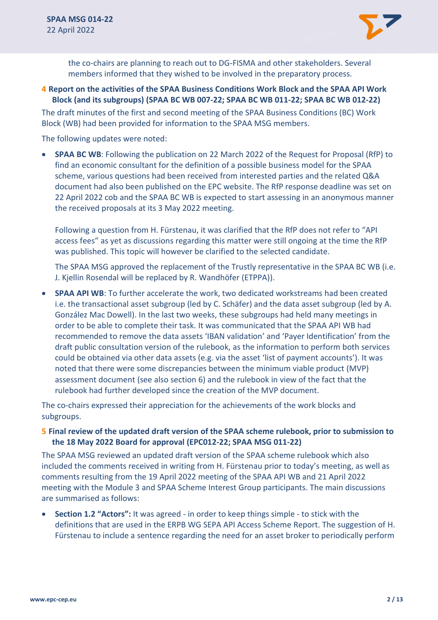

the co-chairs are planning to reach out to DG-FISMA and other stakeholders. Several members informed that they wished to be involved in the preparatory process.

### **4 Report on the activities of the SPAA Business Conditions Work Block and the SPAA API Work Block (and its subgroups) (SPAA BC WB 007-22; SPAA BC WB 011-22; SPAA BC WB 012-22)**

The draft minutes of the first and second meeting of the SPAA Business Conditions (BC) Work Block (WB) had been provided for information to the SPAA MSG members.

The following updates were noted:

• **SPAA BC WB**: Following the publication on 22 March 2022 of the Request for Proposal (RfP) to find an economic consultant for the definition of a possible business model for the SPAA scheme, various questions had been received from interested parties and the related Q&A document had also been published on the EPC website. The RfP response deadline was set on 22 April 2022 cob and the SPAA BC WB is expected to start assessing in an anonymous manner the received proposals at its 3 May 2022 meeting.

Following a question from H. Fürstenau, it was clarified that the RfP does not refer to "API access fees" as yet as discussions regarding this matter were still ongoing at the time the RfP was published. This topic will however be clarified to the selected candidate.

The SPAA MSG approved the replacement of the Trustly representative in the SPAA BC WB (i.e. J. Kjellin Rosendal will be replaced by R. Wandhöfer (ETPPA)).

• **SPAA API WB**: To further accelerate the work, two dedicated workstreams had been created i.e. the transactional asset subgroup (led by C. Schäfer) and the data asset subgroup (led by A. González Mac Dowell). In the last two weeks, these subgroups had held many meetings in order to be able to complete their task. It was communicated that the SPAA API WB had recommended to remove the data assets 'IBAN validation' and 'Payer Identification' from the draft public consultation version of the rulebook, as the information to perform both services could be obtained via other data assets (e.g. via the asset 'list of payment accounts'). It was noted that there were some discrepancies between the minimum viable product (MVP) assessment document (see also section 6) and the rulebook in view of the fact that the rulebook had further developed since the creation of the MVP document.

The co-chairs expressed their appreciation for the achievements of the work blocks and subgroups.

#### **5 Final review of the updated draft version of the SPAA scheme rulebook, prior to submission to the 18 May 2022 Board for approval (EPC012-22; SPAA MSG 011-22)**

The SPAA MSG reviewed an updated draft version of the SPAA scheme rulebook which also included the comments received in writing from H. Fürstenau prior to today's meeting, as well as comments resulting from the 19 April 2022 meeting of the SPAA API WB and 21 April 2022 meeting with the Module 3 and SPAA Scheme Interest Group participants. The main discussions are summarised as follows:

• **Section 1.2 "Actors":** It was agreed - in order to keep things simple - to stick with the definitions that are used in the ERPB WG SEPA API Access Scheme Report. The suggestion of H. Fürstenau to include a sentence regarding the need for an asset broker to periodically perform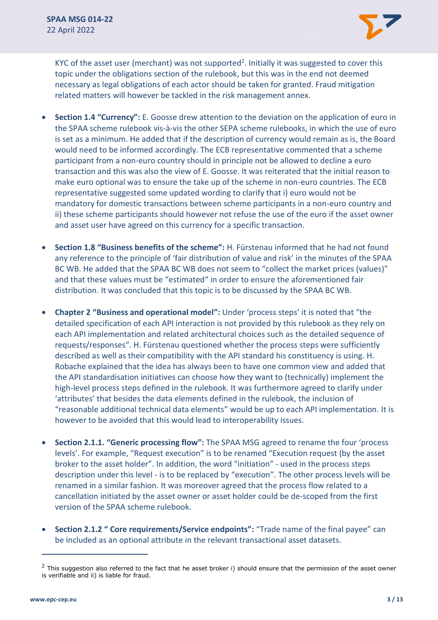

KYC of the asset user (merchant) was not supported<sup>2</sup>. Initially it was suggested to cover this topic under the obligations section of the rulebook, but this was in the end not deemed necessary as legal obligations of each actor should be taken for granted. Fraud mitigation related matters will however be tackled in the risk management annex.

- **Section 1.4 "Currency":** E. Goosse drew attention to the deviation on the application of euro in the SPAA scheme rulebook vis-à-vis the other SEPA scheme rulebooks, in which the use of euro is set as a minimum. He added that if the description of currency would remain as is, the Board would need to be informed accordingly. The ECB representative commented that a scheme participant from a non-euro country should in principle not be allowed to decline a euro transaction and this was also the view of E. Goosse. It was reiterated that the initial reason to make euro optional was to ensure the take up of the scheme in non-euro countries. The ECB representative suggested some updated wording to clarify that i) euro would not be mandatory for domestic transactions between scheme participants in a non-euro country and ii) these scheme participants should however not refuse the use of the euro if the asset owner and asset user have agreed on this currency for a specific transaction.
- **Section 1.8 "Business benefits of the scheme":** H. Fürstenau informed that he had not found any reference to the principle of 'fair distribution of value and risk' in the minutes of the SPAA BC WB. He added that the SPAA BC WB does not seem to "collect the market prices (values)" and that these values must be "estimated" in order to ensure the aforementioned fair distribution. It was concluded that this topic is to be discussed by the SPAA BC WB.
- **Chapter 2 "Business and operational model":** Under 'process steps' it is noted that "the detailed specification of each API interaction is not provided by this rulebook as they rely on each API implementation and related architectural choices such as the detailed sequence of requests/responses". H. Fürstenau questioned whether the process steps were sufficiently described as well as their compatibility with the API standard his constituency is using. H. Robache explained that the idea has always been to have one common view and added that the API standardisation initiatives can choose how they want to (technically) implement the high-level process steps defined in the rulebook. It was furthermore agreed to clarify under 'attributes' that besides the data elements defined in the rulebook, the inclusion of "reasonable additional technical data elements" would be up to each API implementation. It is however to be avoided that this would lead to interoperability issues.
- **Section 2.1.1. "Generic processing flow":** The SPAA MSG agreed to rename the four 'process levels'. For example, "Request execution" is to be renamed "Execution request (by the asset broker to the asset holder". In addition, the word "initiation" - used in the process steps description under this level - is to be replaced by "execution". The other process levels will be renamed in a similar fashion. It was moreover agreed that the process flow related to a cancellation initiated by the asset owner or asset holder could be de-scoped from the first version of the SPAA scheme rulebook.
- **Section 2.1.2 " Core requirements/Service endpoints":** "Trade name of the final payee" can be included as an optional attribute in the relevant transactional asset datasets.

 $2$  This suggestion also referred to the fact that he asset broker i) should ensure that the permission of the asset owner is verifiable and ii) is liable for fraud.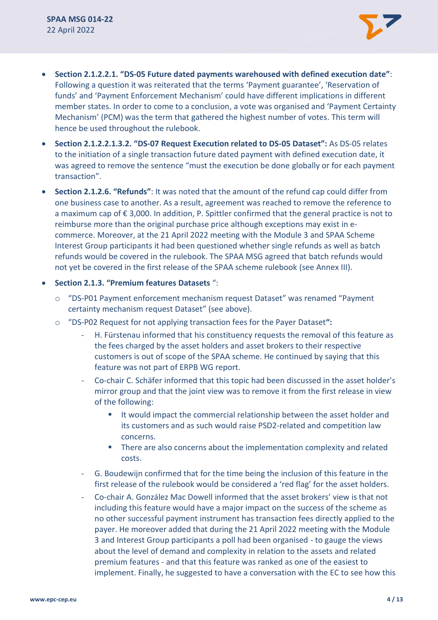- **Section 2.1.2.2.1. "DS-05 Future dated payments warehoused with defined execution date"**: Following a question it was reiterated that the terms 'Payment guarantee', 'Reservation of funds' and 'Payment Enforcement Mechanism' could have different implications in different member states. In order to come to a conclusion, a vote was organised and 'Payment Certainty Mechanism' (PCM) was the term that gathered the highest number of votes. This term will hence be used throughout the rulebook.
- **Section 2.1.2.2.1.3.2. "DS-07 Request Execution related to DS-05 Dataset":** As DS-05 relates to the initiation of a single transaction future dated payment with defined execution date, it was agreed to remove the sentence "must the execution be done globally or for each payment transaction".
- **Section 2.1.2.6. "Refunds"**: It was noted that the amount of the refund cap could differ from one business case to another. As a result, agreement was reached to remove the reference to a maximum cap of € 3,000. In addition, P. Spittler confirmed that the general practice is not to reimburse more than the original purchase price although exceptions may exist in ecommerce. Moreover, at the 21 April 2022 meeting with the Module 3 and SPAA Scheme Interest Group participants it had been questioned whether single refunds as well as batch refunds would be covered in the rulebook. The SPAA MSG agreed that batch refunds would not yet be covered in the first release of the SPAA scheme rulebook (see Annex III).
- **Section 2.1.3. "Premium features Datasets** ":
	- o "DS-P01 Payment enforcement mechanism request Dataset" was renamed "Payment certainty mechanism request Dataset" (see above).
	- o "DS-P02 Request for not applying transaction fees for the Payer Dataset**":**
		- H. Fürstenau informed that his constituency requests the removal of this feature as the fees charged by the asset holders and asset brokers to their respective customers is out of scope of the SPAA scheme. He continued by saying that this feature was not part of ERPB WG report.
		- Co-chair C. Schäfer informed that this topic had been discussed in the asset holder's mirror group and that the joint view was to remove it from the first release in view of the following:
			- It would impact the commercial relationship between the asset holder and its customers and as such would raise PSD2-related and competition law concerns.
			- There are also concerns about the implementation complexity and related costs.
		- G. Boudewijn confirmed that for the time being the inclusion of this feature in the first release of the rulebook would be considered a 'red flag' for the asset holders.
		- Co-chair A. González Mac Dowell informed that the asset brokers' view is that not including this feature would have a major impact on the success of the scheme as no other successful payment instrument has transaction fees directly applied to the payer. He moreover added that during the 21 April 2022 meeting with the Module 3 and Interest Group participants a poll had been organised - to gauge the views about the level of demand and complexity in relation to the assets and related premium features - and that this feature was ranked as one of the easiest to implement. Finally, he suggested to have a conversation with the EC to see how this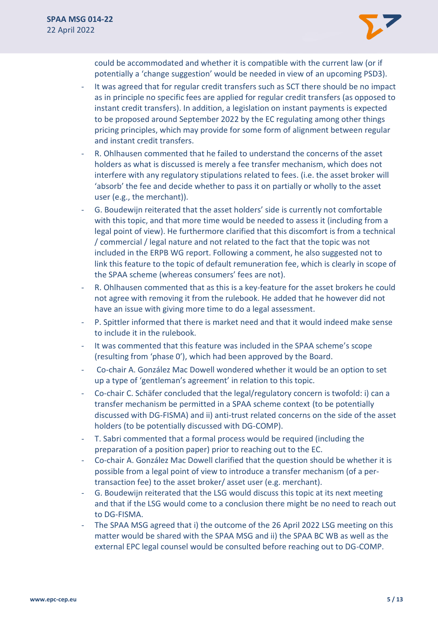

could be accommodated and whether it is compatible with the current law (or if potentially a 'change suggestion' would be needed in view of an upcoming PSD3).

- It was agreed that for regular credit transfers such as SCT there should be no impact as in principle no specific fees are applied for regular credit transfers (as opposed to instant credit transfers). In addition, a legislation on instant payments is expected to be proposed around September 2022 by the EC regulating among other things pricing principles, which may provide for some form of alignment between regular and instant credit transfers.
- R. Ohlhausen commented that he failed to understand the concerns of the asset holders as what is discussed is merely a fee transfer mechanism, which does not interfere with any regulatory stipulations related to fees. (i.e. the asset broker will 'absorb' the fee and decide whether to pass it on partially or wholly to the asset user (e.g., the merchant)).
- G. Boudewijn reiterated that the asset holders' side is currently not comfortable with this topic, and that more time would be needed to assess it (including from a legal point of view). He furthermore clarified that this discomfort is from a technical / commercial / legal nature and not related to the fact that the topic was not included in the ERPB WG report. Following a comment, he also suggested not to link this feature to the topic of default remuneration fee, which is clearly in scope of the SPAA scheme (whereas consumers' fees are not).
- R. Ohlhausen commented that as this is a key-feature for the asset brokers he could not agree with removing it from the rulebook. He added that he however did not have an issue with giving more time to do a legal assessment.
- P. Spittler informed that there is market need and that it would indeed make sense to include it in the rulebook.
- It was commented that this feature was included in the SPAA scheme's scope (resulting from 'phase 0'), which had been approved by the Board.
- Co-chair A. González Mac Dowell wondered whether it would be an option to set up a type of 'gentleman's agreement' in relation to this topic.
- Co-chair C. Schäfer concluded that the legal/regulatory concern is twofold: i) can a transfer mechanism be permitted in a SPAA scheme context (to be potentially discussed with DG-FISMA) and ii) anti-trust related concerns on the side of the asset holders (to be potentially discussed with DG-COMP).
- T. Sabri commented that a formal process would be required (including the preparation of a position paper) prior to reaching out to the EC.
- Co-chair A. González Mac Dowell clarified that the question should be whether it is possible from a legal point of view to introduce a transfer mechanism (of a pertransaction fee) to the asset broker/ asset user (e.g. merchant).
- G. Boudewijn reiterated that the LSG would discuss this topic at its next meeting and that if the LSG would come to a conclusion there might be no need to reach out to DG-FISMA.
- The SPAA MSG agreed that i) the outcome of the 26 April 2022 LSG meeting on this matter would be shared with the SPAA MSG and ii) the SPAA BC WB as well as the external EPC legal counsel would be consulted before reaching out to DG-COMP.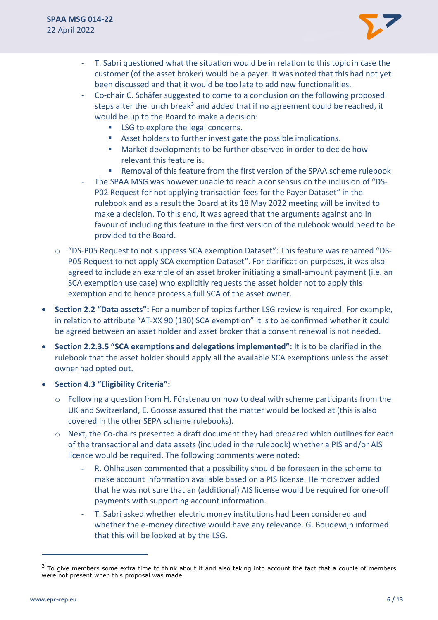

- T. Sabri questioned what the situation would be in relation to this topic in case the customer (of the asset broker) would be a payer. It was noted that this had not yet been discussed and that it would be too late to add new functionalities.
- Co-chair C. Schäfer suggested to come to a conclusion on the following proposed steps after the lunch break<sup>3</sup> and added that if no agreement could be reached, it would be up to the Board to make a decision:
	- LSG to explore the legal concerns.
	- Asset holders to further investigate the possible implications.
	- Market developments to be further observed in order to decide how relevant this feature is.
	- Removal of this feature from the first version of the SPAA scheme rulebook
- The SPAA MSG was however unable to reach a consensus on the inclusion of "DS-P02 Request for not applying transaction fees for the Payer Dataset" in the rulebook and as a result the Board at its 18 May 2022 meeting will be invited to make a decision. To this end, it was agreed that the arguments against and in favour of including this feature in the first version of the rulebook would need to be provided to the Board.
- o "DS-P05 Request to not suppress SCA exemption Dataset": This feature was renamed "DS-P05 Request to not apply SCA exemption Dataset". For clarification purposes, it was also agreed to include an example of an asset broker initiating a small-amount payment (i.e. an SCA exemption use case) who explicitly requests the asset holder not to apply this exemption and to hence process a full SCA of the asset owner.
- **Section 2.2 "Data assets":** For a number of topics further LSG review is required. For example, in relation to attribute "AT-XX 90 (180) SCA exemption" it is to be confirmed whether it could be agreed between an asset holder and asset broker that a consent renewal is not needed.
- **Section 2.2.3.5 "SCA exemptions and delegations implemented":** It is to be clarified in the rulebook that the asset holder should apply all the available SCA exemptions unless the asset owner had opted out.
- **Section 4.3 "Eligibility Criteria":**
	- $\circ$  Following a question from H. Fürstenau on how to deal with scheme participants from the UK and Switzerland, E. Goosse assured that the matter would be looked at (this is also covered in the other SEPA scheme rulebooks).
	- $\circ$  Next, the Co-chairs presented a draft document they had prepared which outlines for each of the transactional and data assets (included in the rulebook) whether a PIS and/or AIS licence would be required. The following comments were noted:
		- R. Ohlhausen commented that a possibility should be foreseen in the scheme to make account information available based on a PIS license. He moreover added that he was not sure that an (additional) AIS license would be required for one-off payments with supporting account information.
		- T. Sabri asked whether electric money institutions had been considered and whether the e-money directive would have any relevance. G. Boudewijn informed that this will be looked at by the LSG.

 $3$  To give members some extra time to think about it and also taking into account the fact that a couple of members were not present when this proposal was made.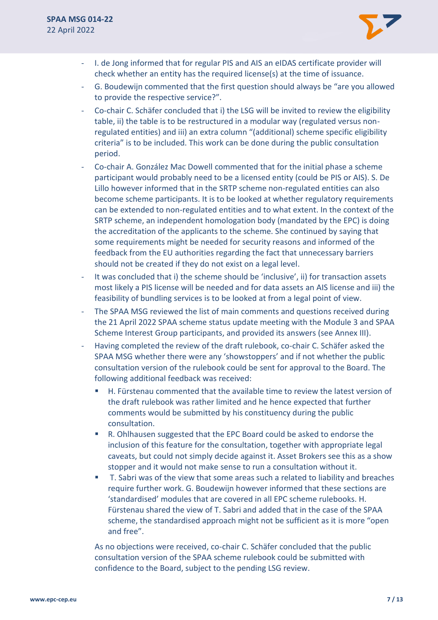

- I. de Jong informed that for regular PIS and AIS an eIDAS certificate provider will check whether an entity has the required license(s) at the time of issuance.
- G. Boudewijn commented that the first question should always be "are you allowed to provide the respective service?".
- Co-chair C. Schäfer concluded that i) the LSG will be invited to review the eligibility table, ii) the table is to be restructured in a modular way (regulated versus nonregulated entities) and iii) an extra column "(additional) scheme specific eligibility criteria" is to be included. This work can be done during the public consultation period.
- Co-chair A. González Mac Dowell commented that for the initial phase a scheme participant would probably need to be a licensed entity (could be PIS or AIS). S. De Lillo however informed that in the SRTP scheme non-regulated entities can also become scheme participants. It is to be looked at whether regulatory requirements can be extended to non-regulated entities and to what extent. In the context of the SRTP scheme, an independent homologation body (mandated by the EPC) is doing the accreditation of the applicants to the scheme. She continued by saying that some requirements might be needed for security reasons and informed of the feedback from the EU authorities regarding the fact that unnecessary barriers should not be created if they do not exist on a legal level.
- It was concluded that i) the scheme should be 'inclusive', ii) for transaction assets most likely a PIS license will be needed and for data assets an AIS license and iii) the feasibility of bundling services is to be looked at from a legal point of view.
- The SPAA MSG reviewed the list of main comments and questions received during the 21 April 2022 SPAA scheme status update meeting with the Module 3 and SPAA Scheme Interest Group participants, and provided its answers (see Annex III).
- Having completed the review of the draft rulebook, co-chair C. Schäfer asked the SPAA MSG whether there were any 'showstoppers' and if not whether the public consultation version of the rulebook could be sent for approval to the Board. The following additional feedback was received:
	- H. Fürstenau commented that the available time to review the latest version of the draft rulebook was rather limited and he hence expected that further comments would be submitted by his constituency during the public consultation.
	- R. Ohlhausen suggested that the EPC Board could be asked to endorse the inclusion of this feature for the consultation, together with appropriate legal caveats, but could not simply decide against it. Asset Brokers see this as a show stopper and it would not make sense to run a consultation without it.
	- T. Sabri was of the view that some areas such a related to liability and breaches require further work. G. Boudewijn however informed that these sections are 'standardised' modules that are covered in all EPC scheme rulebooks. H. Fürstenau shared the view of T. Sabri and added that in the case of the SPAA scheme, the standardised approach might not be sufficient as it is more "open and free".

As no objections were received, co-chair C. Schäfer concluded that the public consultation version of the SPAA scheme rulebook could be submitted with confidence to the Board, subject to the pending LSG review.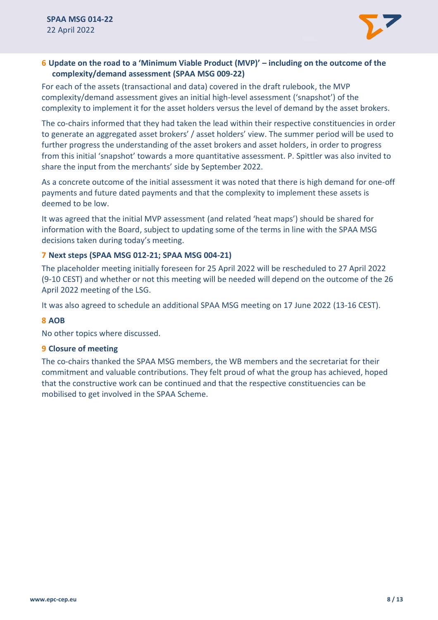

### **6 Update on the road to a 'Minimum Viable Product (MVP)' – including on the outcome of the complexity/demand assessment (SPAA MSG 009-22)**

For each of the assets (transactional and data) covered in the draft rulebook, the MVP complexity/demand assessment gives an initial high-level assessment ('snapshot') of the complexity to implement it for the asset holders versus the level of demand by the asset brokers.

The co-chairs informed that they had taken the lead within their respective constituencies in order to generate an aggregated asset brokers' / asset holders' view. The summer period will be used to further progress the understanding of the asset brokers and asset holders, in order to progress from this initial 'snapshot' towards a more quantitative assessment. P. Spittler was also invited to share the input from the merchants' side by September 2022.

As a concrete outcome of the initial assessment it was noted that there is high demand for one-off payments and future dated payments and that the complexity to implement these assets is deemed to be low.

It was agreed that the initial MVP assessment (and related 'heat maps') should be shared for information with the Board, subject to updating some of the terms in line with the SPAA MSG decisions taken during today's meeting.

#### **7 Next steps (SPAA MSG 012-21; SPAA MSG 004-21)**

The placeholder meeting initially foreseen for 25 April 2022 will be rescheduled to 27 April 2022 (9-10 CEST) and whether or not this meeting will be needed will depend on the outcome of the 26 April 2022 meeting of the LSG.

It was also agreed to schedule an additional SPAA MSG meeting on 17 June 2022 (13-16 CEST).

#### **8 AOB**

No other topics where discussed.

#### **9 Closure of meeting**

The co-chairs thanked the SPAA MSG members, the WB members and the secretariat for their commitment and valuable contributions. They felt proud of what the group has achieved, hoped that the constructive work can be continued and that the respective constituencies can be mobilised to get involved in the SPAA Scheme.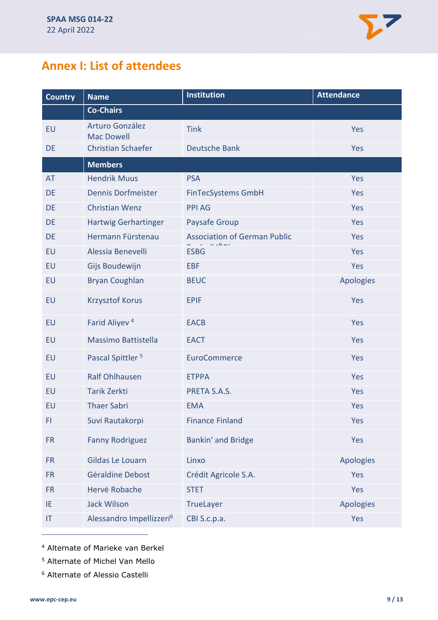# **Annex I: List of attendees**

| <b>Country</b> | <b>Name</b>                          | <b>Institution</b>                                       | <b>Attendance</b> |
|----------------|--------------------------------------|----------------------------------------------------------|-------------------|
|                | <b>Co-Chairs</b>                     |                                                          |                   |
| EU             | Arturo González<br><b>Mac Dowell</b> | <b>Tink</b>                                              | Yes               |
| DE             | <b>Christian Schaefer</b>            | <b>Deutsche Bank</b>                                     | Yes               |
|                | <b>Members</b>                       |                                                          |                   |
| <b>AT</b>      | <b>Hendrik Muus</b>                  | <b>PSA</b>                                               | Yes               |
| <b>DE</b>      | <b>Dennis Dorfmeister</b>            | <b>FinTecSystems GmbH</b>                                | Yes               |
| DE             | <b>Christian Wenz</b>                | <b>PPI AG</b>                                            | Yes               |
| DE             | <b>Hartwig Gerhartinger</b>          | Paysafe Group                                            | Yes               |
| <b>DE</b>      | Hermann Fürstenau                    | <b>Association of German Public</b><br>والمنطور والمرادي | Yes               |
| EU             | Alessia Benevelli                    | <b>ESBG</b>                                              | Yes               |
| EU             | Gijs Boudewijn                       | <b>EBF</b>                                               | Yes               |
| EU             | <b>Bryan Coughlan</b>                | <b>BEUC</b>                                              | Apologies         |
| EU             | <b>Krzysztof Korus</b>               | <b>EPIF</b>                                              | Yes               |
| EU             | Farid Aliyev <sup>4</sup>            | <b>EACB</b>                                              | Yes               |
| EU             | <b>Massimo Battistella</b>           | <b>EACT</b>                                              | Yes               |
| EU             | Pascal Spittler <sup>5</sup>         | <b>EuroCommerce</b>                                      | Yes               |
| EU             | <b>Ralf Ohlhausen</b>                | <b>ETPPA</b>                                             | Yes               |
| <b>EU</b>      | <b>Tarik Zerkti</b>                  | PRETA S.A.S.                                             | Yes               |
| EU             | <b>Thaer Sabri</b>                   | <b>EMA</b>                                               | Yes               |
| FI.            | Suvi Rautakorpi                      | <b>Finance Finland</b>                                   | Yes               |
| <b>FR</b>      | <b>Fanny Rodriguez</b>               | <b>Bankin' and Bridge</b>                                | Yes               |
| <b>FR</b>      | Gildas Le Louarn                     | Linxo                                                    | Apologies         |
| <b>FR</b>      | Géraldine Debost                     | Crédit Agricole S.A.                                     | Yes               |
| <b>FR</b>      | Hervé Robache                        | <b>STET</b>                                              | Yes               |
| IE.            | <b>Jack Wilson</b>                   | TrueLayer                                                | <b>Apologies</b>  |
| IT             | Alessandro Impellizzeri <sup>6</sup> | CBI S.c.p.a.                                             | Yes               |

<sup>4</sup> Alternate of Marieke van Berkel

- <sup>5</sup> Alternate of Michel Van Mello
- <sup>6</sup> Alternate of Alessio Castelli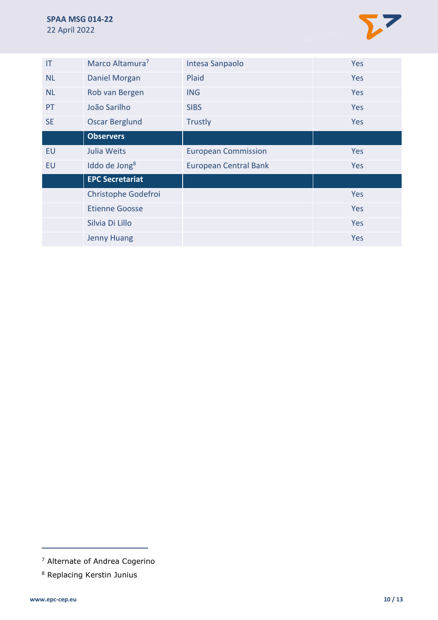

| IT        | Marco Altamura <sup>7</sup> | Intesa Sanpaolo              | Yes        |
|-----------|-----------------------------|------------------------------|------------|
| <b>NL</b> | Daniel Morgan               | Plaid                        | Yes        |
| <b>NL</b> | Rob van Bergen              | <b>ING</b>                   | Yes        |
| PT        | João Sarilho                | <b>SIBS</b>                  | Yes        |
| <b>SE</b> | <b>Oscar Berglund</b>       | <b>Trustly</b>               | Yes        |
|           | <b>Observers</b>            |                              |            |
| EU        | Julia Weits                 | <b>European Commission</b>   | <b>Yes</b> |
| EU        | Iddo de Jong <sup>8</sup>   | <b>European Central Bank</b> | Yes        |
|           | <b>EPC Secretariat</b>      |                              |            |
|           | Christophe Godefroi         |                              | Yes        |
|           |                             |                              |            |
|           | <b>Etienne Goosse</b>       |                              | Yes        |
|           | Silvia Di Lillo             |                              | Yes        |

<sup>7</sup> Alternate of Andrea Cogerino

<sup>8</sup> Replacing Kerstin Junius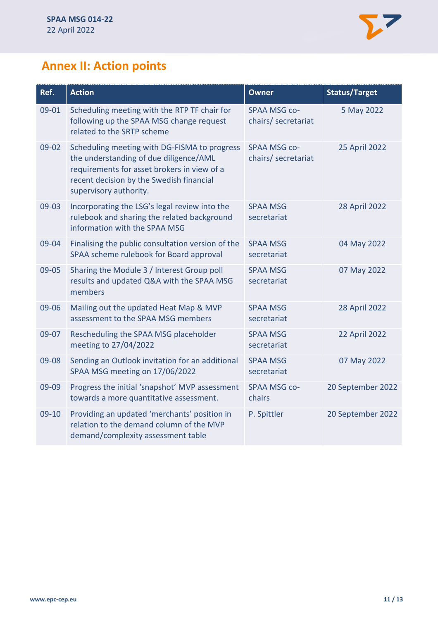

# **Annex II: Action points**

| Ref.    | <b>Action</b>                                                                                                                                                                                               | <b>Owner</b>                               | <b>Status/Target</b> |
|---------|-------------------------------------------------------------------------------------------------------------------------------------------------------------------------------------------------------------|--------------------------------------------|----------------------|
| 09-01   | Scheduling meeting with the RTP TF chair for<br>following up the SPAA MSG change request<br>related to the SRTP scheme                                                                                      | <b>SPAA MSG co-</b><br>chairs/ secretariat | 5 May 2022           |
| 09-02   | Scheduling meeting with DG-FISMA to progress<br>the understanding of due diligence/AML<br>requirements for asset brokers in view of a<br>recent decision by the Swedish financial<br>supervisory authority. | <b>SPAA MSG co-</b><br>chairs/ secretariat | 25 April 2022        |
| 09-03   | Incorporating the LSG's legal review into the<br>rulebook and sharing the related background<br>information with the SPAA MSG                                                                               | <b>SPAA MSG</b><br>secretariat             | <b>28 April 2022</b> |
| 09-04   | Finalising the public consultation version of the<br>SPAA scheme rulebook for Board approval                                                                                                                | <b>SPAA MSG</b><br>secretariat             | 04 May 2022          |
| 09-05   | Sharing the Module 3 / Interest Group poll<br>results and updated Q&A with the SPAA MSG<br>members                                                                                                          | <b>SPAA MSG</b><br>secretariat             | 07 May 2022          |
| 09-06   | Mailing out the updated Heat Map & MVP<br>assessment to the SPAA MSG members                                                                                                                                | <b>SPAA MSG</b><br>secretariat             | 28 April 2022        |
| 09-07   | Rescheduling the SPAA MSG placeholder<br>meeting to 27/04/2022                                                                                                                                              | <b>SPAA MSG</b><br>secretariat             | 22 April 2022        |
| 09-08   | Sending an Outlook invitation for an additional<br>SPAA MSG meeting on 17/06/2022                                                                                                                           | <b>SPAA MSG</b><br>secretariat             | 07 May 2022          |
| 09-09   | Progress the initial 'snapshot' MVP assessment<br>towards a more quantitative assessment.                                                                                                                   | <b>SPAA MSG co-</b><br>chairs              | 20 September 2022    |
| $09-10$ | Providing an updated 'merchants' position in<br>relation to the demand column of the MVP<br>demand/complexity assessment table                                                                              | P. Spittler                                | 20 September 2022    |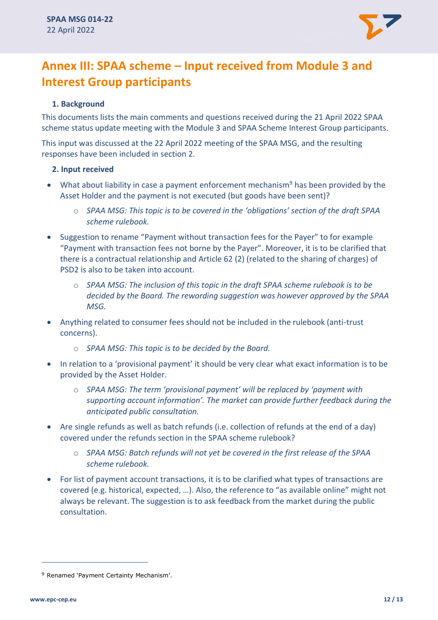

# **Annex III: SPAA scheme – Input received from Module 3 and Interest Group participants**

#### **1. Background**

This documents lists the main comments and questions received during the 21 April 2022 SPAA scheme status update meeting with the Module 3 and SPAA Scheme Interest Group participants.

This input was discussed at the 22 April 2022 meeting of the SPAA MSG, and the resulting responses have been included in section 2.

#### **2. Input received**

- What about liability in case a payment enforcement mechanism<sup>9</sup> has been provided by the Asset Holder and the payment is not executed (but goods have been sent)?
	- o *SPAA MSG: This topic is to be covered in the 'obligations' section of the draft SPAA scheme rulebook.*
- Suggestion to rename "Payment without transaction fees for the Payer" to for example "Payment with transaction fees not borne by the Payer". Moreover, it is to be clarified that there is a contractual relationship and Article 62 (2) (related to the sharing of charges) of PSD2 is also to be taken into account.
	- o *SPAA MSG: The inclusion of this topic in the draft SPAA scheme rulebook is to be decided by the Board. The rewording suggestion was however approved by the SPAA MSG.*
- Anything related to consumer fees should not be included in the rulebook (anti-trust concerns).
	- o *SPAA MSG: This topic is to be decided by the Board.*
- In relation to a 'provisional payment' it should be very clear what exact information is to be provided by the Asset Holder.
	- o *SPAA MSG: The term 'provisional payment' will be replaced by 'payment with supporting account information'. The market can provide further feedback during the anticipated public consultation.*
- Are single refunds as well as batch refunds (i.e. collection of refunds at the end of a day) covered under the refunds section in the SPAA scheme rulebook?
	- o *SPAA MSG: Batch refunds will not yet be covered in the first release of the SPAA scheme rulebook.*
- For list of payment account transactions, it is to be clarified what types of transactions are covered (e.g. historical, expected, …). Also, the reference to "as available online" might not always be relevant. The suggestion is to ask feedback from the market during the public consultation.

<sup>9</sup> Renamed 'Payment Certainty Mechanism'.